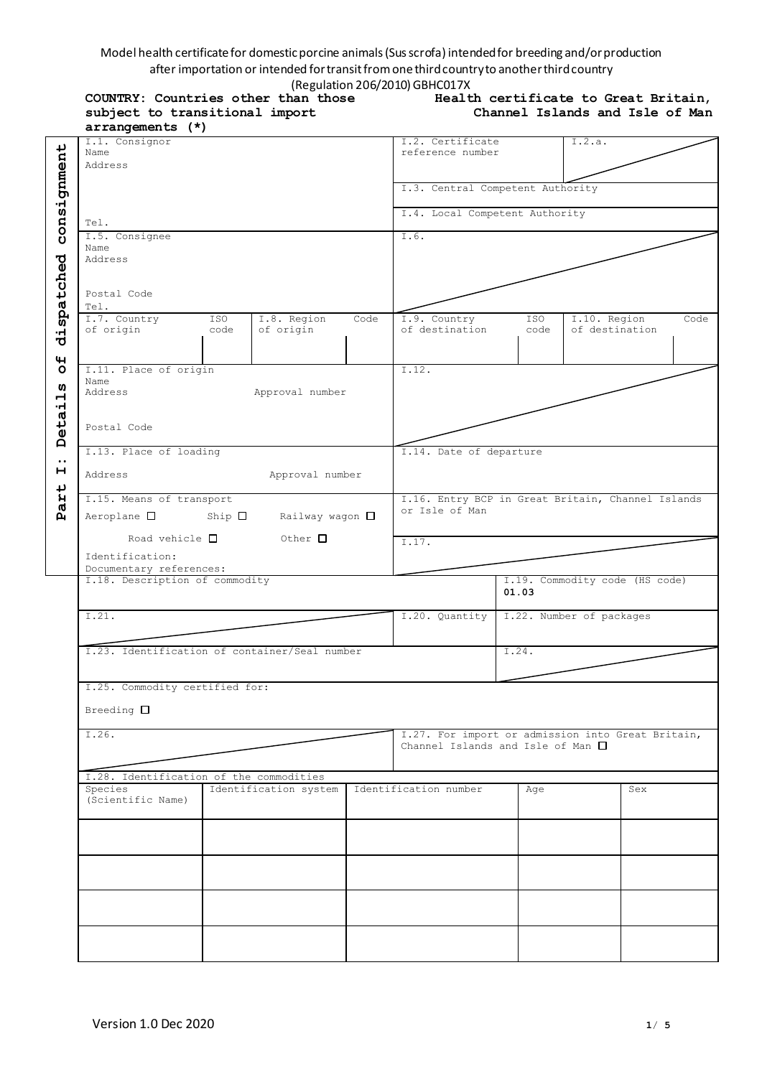## Model health certificate for domestic porcine animals (Sus scrofa) intended for breeding and/or production after importation or intended for transit from one third country to another third country (Regulation 206/2010) GBHC017X

**COUNTRY: Countries other than those subject to transitional import** 

| Health certificate to Great Britain, |                                 |  |  |
|--------------------------------------|---------------------------------|--|--|
|                                      | Channel Islands and Isle of Man |  |  |

|                               | arrangements (*)                              |                                  |                       |                                                   |                                                   |       |                                |     |      |
|-------------------------------|-----------------------------------------------|----------------------------------|-----------------------|---------------------------------------------------|---------------------------------------------------|-------|--------------------------------|-----|------|
|                               | I.1. Consignor                                |                                  |                       |                                                   | I.2. Certificate                                  |       | I.2.a.                         |     |      |
|                               | Name                                          |                                  |                       |                                                   | reference number                                  |       |                                |     |      |
|                               | Address                                       |                                  |                       |                                                   |                                                   |       |                                |     |      |
|                               |                                               | I.3. Central Competent Authority |                       |                                                   |                                                   |       |                                |     |      |
|                               |                                               |                                  |                       |                                                   |                                                   |       |                                |     |      |
|                               |                                               |                                  |                       |                                                   | I.4. Local Competent Authority                    |       |                                |     |      |
| consignment                   | Tel.                                          |                                  |                       |                                                   |                                                   |       |                                |     |      |
|                               | I.5. Consignee                                |                                  |                       |                                                   | I.6.                                              |       |                                |     |      |
|                               | Name                                          |                                  |                       |                                                   |                                                   |       |                                |     |      |
|                               | Address                                       |                                  |                       |                                                   |                                                   |       |                                |     |      |
|                               |                                               |                                  |                       |                                                   |                                                   |       |                                |     |      |
|                               |                                               |                                  |                       |                                                   |                                                   |       |                                |     |      |
| dispatched                    | Postal Code                                   |                                  |                       |                                                   |                                                   |       |                                |     |      |
|                               | Tel.<br>I.7. Country                          | ISO                              | I.8. Region           | Code                                              | I.9. Country                                      | ISO   | I.10. Region                   |     | Code |
|                               | of origin                                     | code                             | of origin             |                                                   | of destination                                    | code  | of destination                 |     |      |
|                               |                                               |                                  |                       |                                                   |                                                   |       |                                |     |      |
|                               |                                               |                                  |                       |                                                   |                                                   |       |                                |     |      |
| 4<br>O                        | I.11. Place of origin                         |                                  |                       |                                                   | $\overline{1.12}$ .                               |       |                                |     |      |
|                               | Name                                          |                                  |                       |                                                   |                                                   |       |                                |     |      |
| ທ<br>$\overline{\phantom{0}}$ | Address                                       |                                  | Approval number       |                                                   |                                                   |       |                                |     |      |
| ٠H                            |                                               |                                  |                       |                                                   |                                                   |       |                                |     |      |
| eta                           |                                               |                                  |                       |                                                   |                                                   |       |                                |     |      |
|                               | Postal Code                                   |                                  |                       |                                                   |                                                   |       |                                |     |      |
| $\mathbf{a}$                  |                                               |                                  |                       |                                                   |                                                   |       |                                |     |      |
| $\bullet$ $\bullet$           | I.13. Place of loading                        |                                  |                       |                                                   | I.14. Date of departure                           |       |                                |     |      |
| н                             | Address                                       |                                  | Approval number       |                                                   |                                                   |       |                                |     |      |
|                               |                                               |                                  |                       |                                                   |                                                   |       |                                |     |      |
| art                           | I.15. Means of transport                      |                                  |                       |                                                   | I.16. Entry BCP in Great Britain, Channel Islands |       |                                |     |      |
| $\tilde{\mathbf{p}}$          | $Aeroplane$ $\Box$                            | $Ship$ $\square$                 | Railway wagon □       |                                                   | or Isle of Man                                    |       |                                |     |      |
|                               |                                               |                                  |                       |                                                   |                                                   |       |                                |     |      |
|                               | Road vehicle $\Box$                           |                                  | $\circ$ Other $\Box$  |                                                   | I.17.                                             |       |                                |     |      |
|                               | Identification:                               |                                  |                       |                                                   |                                                   |       |                                |     |      |
|                               | Documentary references:                       |                                  |                       |                                                   |                                                   |       |                                |     |      |
|                               | I.18. Description of commodity                |                                  |                       |                                                   |                                                   |       | I.19. Commodity code (HS code) |     |      |
|                               |                                               |                                  |                       |                                                   |                                                   | 01.03 |                                |     |      |
|                               |                                               |                                  |                       |                                                   | I.22. Number of packages<br>I.20. Quantity        |       |                                |     |      |
|                               | I.21.                                         |                                  |                       |                                                   |                                                   |       |                                |     |      |
|                               |                                               |                                  |                       |                                                   |                                                   |       |                                |     |      |
|                               | I.23. Identification of container/Seal number |                                  |                       |                                                   |                                                   | I.24. |                                |     |      |
|                               |                                               |                                  |                       |                                                   |                                                   |       |                                |     |      |
|                               |                                               |                                  |                       |                                                   |                                                   |       |                                |     |      |
|                               | I.25. Commodity certified for:                |                                  |                       |                                                   |                                                   |       |                                |     |      |
|                               |                                               |                                  |                       |                                                   |                                                   |       |                                |     |      |
|                               | Breeding $\square$                            |                                  |                       |                                                   |                                                   |       |                                |     |      |
|                               | I.26.                                         |                                  |                       | I.27. For import or admission into Great Britain, |                                                   |       |                                |     |      |
|                               |                                               |                                  |                       | Channel Islands and Isle of Man $\square$         |                                                   |       |                                |     |      |
|                               |                                               |                                  |                       |                                                   |                                                   |       |                                |     |      |
|                               | I.28. Identification of the commodities       |                                  |                       |                                                   |                                                   |       |                                |     |      |
|                               | Species                                       |                                  | Identification system |                                                   | Identification number                             | Age   |                                | Sex |      |
|                               | (Scientific Name)                             |                                  |                       |                                                   |                                                   |       |                                |     |      |
|                               |                                               |                                  |                       |                                                   |                                                   |       |                                |     |      |
|                               |                                               |                                  |                       |                                                   |                                                   |       |                                |     |      |
|                               |                                               |                                  |                       |                                                   |                                                   |       |                                |     |      |
|                               |                                               |                                  |                       |                                                   |                                                   |       |                                |     |      |
|                               |                                               |                                  |                       |                                                   |                                                   |       |                                |     |      |
|                               |                                               |                                  |                       |                                                   |                                                   |       |                                |     |      |
|                               |                                               |                                  |                       |                                                   |                                                   |       |                                |     |      |
|                               |                                               |                                  |                       |                                                   |                                                   |       |                                |     |      |
|                               |                                               |                                  |                       |                                                   |                                                   |       |                                |     |      |
|                               |                                               |                                  |                       |                                                   |                                                   |       |                                |     |      |
|                               |                                               |                                  |                       |                                                   |                                                   |       |                                |     |      |
|                               |                                               |                                  |                       |                                                   |                                                   |       |                                |     |      |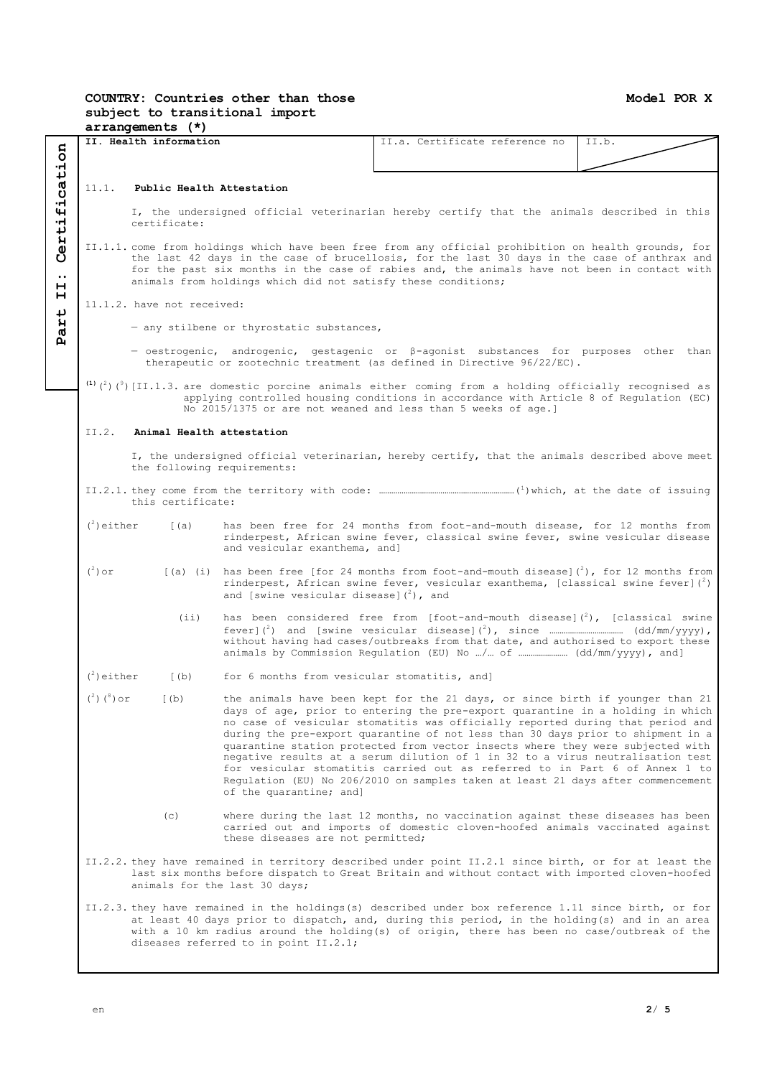## **Model POR X**

## **COUNTRY: Countries other than those subject to transitional import arrangements (\*)**

|                                                                                 |                                                                                                                                                                                                                                            |                                                                                                                                                                                                                                                                                                                                                                       | II. Health information                     |                                                                                                                                                                                                        | II.a. Certificate reference no                                                                                                                                                                                                                                                                                                                                                                                                                                                                                                                                                                                                                                                | II.b. |  |  |
|---------------------------------------------------------------------------------|--------------------------------------------------------------------------------------------------------------------------------------------------------------------------------------------------------------------------------------------|-----------------------------------------------------------------------------------------------------------------------------------------------------------------------------------------------------------------------------------------------------------------------------------------------------------------------------------------------------------------------|--------------------------------------------|--------------------------------------------------------------------------------------------------------------------------------------------------------------------------------------------------------|-------------------------------------------------------------------------------------------------------------------------------------------------------------------------------------------------------------------------------------------------------------------------------------------------------------------------------------------------------------------------------------------------------------------------------------------------------------------------------------------------------------------------------------------------------------------------------------------------------------------------------------------------------------------------------|-------|--|--|
|                                                                                 |                                                                                                                                                                                                                                            |                                                                                                                                                                                                                                                                                                                                                                       |                                            |                                                                                                                                                                                                        |                                                                                                                                                                                                                                                                                                                                                                                                                                                                                                                                                                                                                                                                               |       |  |  |
|                                                                                 |                                                                                                                                                                                                                                            |                                                                                                                                                                                                                                                                                                                                                                       |                                            |                                                                                                                                                                                                        |                                                                                                                                                                                                                                                                                                                                                                                                                                                                                                                                                                                                                                                                               |       |  |  |
|                                                                                 | 11.1. Public Health Attestation                                                                                                                                                                                                            |                                                                                                                                                                                                                                                                                                                                                                       |                                            |                                                                                                                                                                                                        |                                                                                                                                                                                                                                                                                                                                                                                                                                                                                                                                                                                                                                                                               |       |  |  |
| Certification                                                                   |                                                                                                                                                                                                                                            | I, the undersigned official veterinarian hereby certify that the animals described in this<br>certificate:                                                                                                                                                                                                                                                            |                                            |                                                                                                                                                                                                        |                                                                                                                                                                                                                                                                                                                                                                                                                                                                                                                                                                                                                                                                               |       |  |  |
| $\bullet\bullet$<br>н                                                           |                                                                                                                                                                                                                                            | II.1.1. come from holdings which have been free from any official prohibition on health grounds, for<br>the last 42 days in the case of brucellosis, for the last 30 days in the case of anthrax and<br>for the past six months in the case of rabies and, the animals have not been in contact with<br>animals from holdings which did not satisfy these conditions; |                                            |                                                                                                                                                                                                        |                                                                                                                                                                                                                                                                                                                                                                                                                                                                                                                                                                                                                                                                               |       |  |  |
| н                                                                               | 11.1.2. have not received:                                                                                                                                                                                                                 |                                                                                                                                                                                                                                                                                                                                                                       |                                            |                                                                                                                                                                                                        |                                                                                                                                                                                                                                                                                                                                                                                                                                                                                                                                                                                                                                                                               |       |  |  |
| $\overline{\mathbf{t}}$<br>.<br>کا<br>- any stilbene or thyrostatic substances, |                                                                                                                                                                                                                                            |                                                                                                                                                                                                                                                                                                                                                                       |                                            |                                                                                                                                                                                                        |                                                                                                                                                                                                                                                                                                                                                                                                                                                                                                                                                                                                                                                                               |       |  |  |
|                                                                                 | д<br>- oestrogenic, androgenic, gestagenic or $\beta$ -agonist substances for purposes other than<br>therapeutic or zootechnic treatment (as defined in Directive 96/22/EC).                                                               |                                                                                                                                                                                                                                                                                                                                                                       |                                            |                                                                                                                                                                                                        |                                                                                                                                                                                                                                                                                                                                                                                                                                                                                                                                                                                                                                                                               |       |  |  |
|                                                                                 |                                                                                                                                                                                                                                            |                                                                                                                                                                                                                                                                                                                                                                       |                                            |                                                                                                                                                                                                        | (1) $({}^{2})$ ( ${}^{9}$ ) [II.1.3. are domestic porcine animals either coming from a holding officially recognised as<br>applying controlled housing conditions in accordance with Article 8 of Regulation (EC)<br>No 2015/1375 or are not weaned and less than 5 weeks of age.]                                                                                                                                                                                                                                                                                                                                                                                            |       |  |  |
|                                                                                 | II.2.                                                                                                                                                                                                                                      |                                                                                                                                                                                                                                                                                                                                                                       |                                            | Animal Health attestation                                                                                                                                                                              |                                                                                                                                                                                                                                                                                                                                                                                                                                                                                                                                                                                                                                                                               |       |  |  |
|                                                                                 |                                                                                                                                                                                                                                            |                                                                                                                                                                                                                                                                                                                                                                       |                                            | the following requirements:                                                                                                                                                                            | I, the undersigned official veterinarian, hereby certify, that the animals described above meet                                                                                                                                                                                                                                                                                                                                                                                                                                                                                                                                                                               |       |  |  |
|                                                                                 |                                                                                                                                                                                                                                            |                                                                                                                                                                                                                                                                                                                                                                       | this certificate:                          |                                                                                                                                                                                                        |                                                                                                                                                                                                                                                                                                                                                                                                                                                                                                                                                                                                                                                                               |       |  |  |
|                                                                                 | $(2)$ either<br>(a)                                                                                                                                                                                                                        |                                                                                                                                                                                                                                                                                                                                                                       | and vesicular exanthema, and]              | has been free for 24 months from foot-and-mouth disease, for 12 months from<br>rinderpest, African swine fever, classical swine fever, swine vesicular disease                                         |                                                                                                                                                                                                                                                                                                                                                                                                                                                                                                                                                                                                                                                                               |       |  |  |
|                                                                                 | $(^2)$ or<br>(i)                                                                                                                                                                                                                           |                                                                                                                                                                                                                                                                                                                                                                       | and [swine vesicular disease] $(^2)$ , and | [(a) (i) has been free [for 24 months from foot-and-mouth disease] $\binom{2}{2}$ , for 12 months from<br>rinderpest, African swine fever, vesicular exanthema, [classical swine fever] $\binom{2}{1}$ |                                                                                                                                                                                                                                                                                                                                                                                                                                                                                                                                                                                                                                                                               |       |  |  |
|                                                                                 |                                                                                                                                                                                                                                            |                                                                                                                                                                                                                                                                                                                                                                       |                                            | has been considered free from [foot-and-mouth disease] $\binom{2}{2}$ , [classical swine<br>without having had cases/outbreaks from that date, and authorised to export these                          |                                                                                                                                                                                                                                                                                                                                                                                                                                                                                                                                                                                                                                                                               |       |  |  |
|                                                                                 | $(2)$ either                                                                                                                                                                                                                               |                                                                                                                                                                                                                                                                                                                                                                       | (b)                                        | for 6 months from vesicular stomatitis, and]                                                                                                                                                           |                                                                                                                                                                                                                                                                                                                                                                                                                                                                                                                                                                                                                                                                               |       |  |  |
|                                                                                 | $(^2)$ $(^8)$ or                                                                                                                                                                                                                           |                                                                                                                                                                                                                                                                                                                                                                       | (b)                                        | of the quarantine; and]                                                                                                                                                                                | the animals have been kept for the 21 days, or since birth if younger than 21<br>days of age, prior to entering the pre-export quarantine in a holding in which<br>no case of vesicular stomatitis was officially reported during that period and<br>during the pre-export quarantine of not less than 30 days prior to shipment in a<br>quarantine station protected from vector insects where they were subjected with<br>negative results at a serum dilution of 1 in 32 to a virus neutralisation test<br>for vesicular stomatitis carried out as referred to in Part 6 of Annex 1 to<br>Requlation (EU) No 206/2010 on samples taken at least 21 days after commencement |       |  |  |
|                                                                                 |                                                                                                                                                                                                                                            |                                                                                                                                                                                                                                                                                                                                                                       | (c)                                        | these diseases are not permitted;                                                                                                                                                                      | where during the last 12 months, no vaccination against these diseases has been<br>carried out and imports of domestic cloven-hoofed animals vaccinated against                                                                                                                                                                                                                                                                                                                                                                                                                                                                                                               |       |  |  |
|                                                                                 | II.2.2. they have remained in territory described under point II.2.1 since birth, or for at least the<br>last six months before dispatch to Great Britain and without contact with imported cloven-hoofed<br>animals for the last 30 days; |                                                                                                                                                                                                                                                                                                                                                                       |                                            |                                                                                                                                                                                                        |                                                                                                                                                                                                                                                                                                                                                                                                                                                                                                                                                                                                                                                                               |       |  |  |
|                                                                                 |                                                                                                                                                                                                                                            |                                                                                                                                                                                                                                                                                                                                                                       |                                            | diseases referred to in point II.2.1;                                                                                                                                                                  | II.2.3. they have remained in the holdings(s) described under box reference 1.11 since birth, or for<br>at least 40 days prior to dispatch, and, during this period, in the holding(s) and in an area<br>with a 10 km radius around the holding(s) of origin, there has been no case/outbreak of the                                                                                                                                                                                                                                                                                                                                                                          |       |  |  |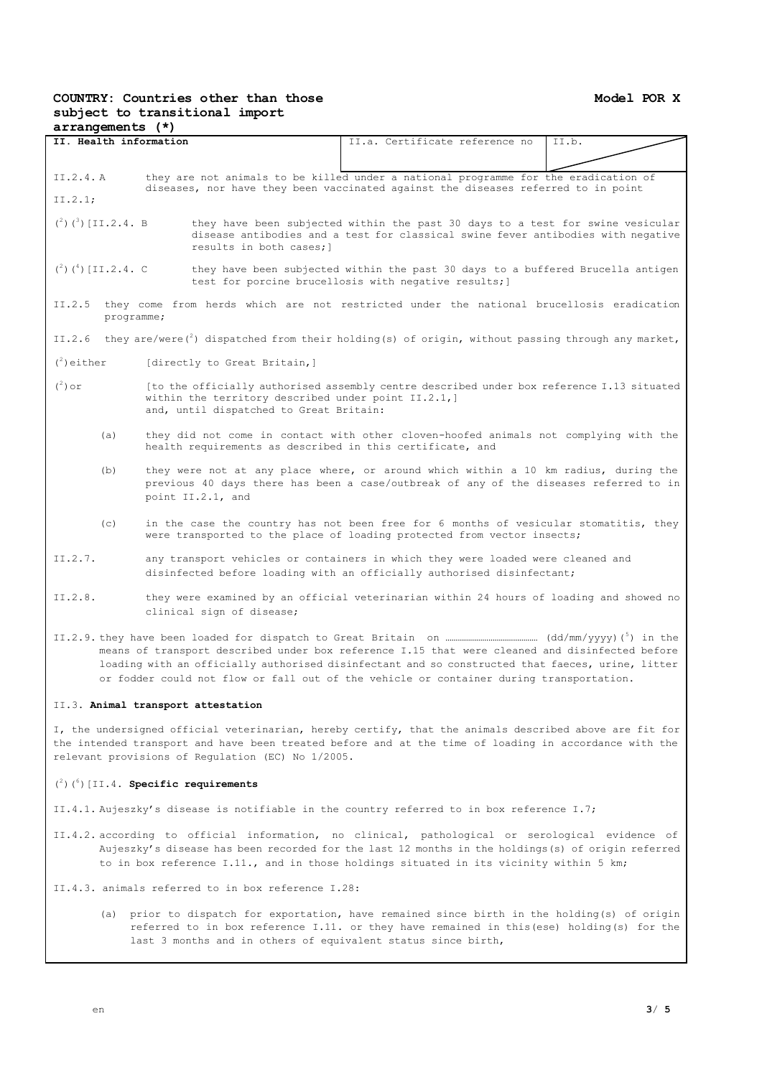# **COUNTRY: Countries other than those subject to transitional import**

| arrangements (*)                                                                                                                                                                                                                                                                               |                                                                                                                                                                                                                                    |                                                                                                |                                                                                                                                                                 |       |  |  |  |
|------------------------------------------------------------------------------------------------------------------------------------------------------------------------------------------------------------------------------------------------------------------------------------------------|------------------------------------------------------------------------------------------------------------------------------------------------------------------------------------------------------------------------------------|------------------------------------------------------------------------------------------------|-----------------------------------------------------------------------------------------------------------------------------------------------------------------|-------|--|--|--|
| II. Health information                                                                                                                                                                                                                                                                         |                                                                                                                                                                                                                                    |                                                                                                | II.a. Certificate reference no                                                                                                                                  | II.b. |  |  |  |
|                                                                                                                                                                                                                                                                                                |                                                                                                                                                                                                                                    |                                                                                                |                                                                                                                                                                 |       |  |  |  |
| they are not animals to be killed under a national programme for the eradication of<br>II.2.4. A<br>diseases, nor have they been vaccinated against the diseases referred to in point                                                                                                          |                                                                                                                                                                                                                                    |                                                                                                |                                                                                                                                                                 |       |  |  |  |
| II.2.1;                                                                                                                                                                                                                                                                                        |                                                                                                                                                                                                                                    |                                                                                                |                                                                                                                                                                 |       |  |  |  |
|                                                                                                                                                                                                                                                                                                | $({}^{2})$ $({}^{3})$ [II.2.4. B<br>they have been subjected within the past 30 days to a test for swine vesicular<br>disease antibodies and a test for classical swine fever antibodies with negative<br>results in both cases; 1 |                                                                                                |                                                                                                                                                                 |       |  |  |  |
|                                                                                                                                                                                                                                                                                                | $({}^{2})$ $({}^{4})$ [II.2.4. C<br>they have been subjected within the past 30 days to a buffered Brucella antigen<br>test for porcine brucellosis with negative results; )                                                       |                                                                                                |                                                                                                                                                                 |       |  |  |  |
| II.2.5                                                                                                                                                                                                                                                                                         | programme;                                                                                                                                                                                                                         |                                                                                                | they come from herds which are not restricted under the national brucellosis eradication                                                                        |       |  |  |  |
| II.2.6                                                                                                                                                                                                                                                                                         |                                                                                                                                                                                                                                    |                                                                                                | they are/were( $^2$ ) dispatched from their holding(s) of origin, without passing through any market,                                                           |       |  |  |  |
| $\binom{2}{1}$ either                                                                                                                                                                                                                                                                          |                                                                                                                                                                                                                                    | [directly to Great Britain,]                                                                   |                                                                                                                                                                 |       |  |  |  |
| $(^2)$ or                                                                                                                                                                                                                                                                                      |                                                                                                                                                                                                                                    | within the territory described under point II.2.1,]<br>and, until dispatched to Great Britain: | [to the officially authorised assembly centre described under box reference I.13 situated                                                                       |       |  |  |  |
| (a)                                                                                                                                                                                                                                                                                            |                                                                                                                                                                                                                                    |                                                                                                | they did not come in contact with other cloven-hoofed animals not complying with the<br>health requirements as described in this certificate, and               |       |  |  |  |
| (b)                                                                                                                                                                                                                                                                                            | they were not at any place where, or around which within a 10 km radius, during the<br>previous 40 days there has been a case/outbreak of any of the diseases referred to in<br>point II.2.1, and                                  |                                                                                                |                                                                                                                                                                 |       |  |  |  |
| (C)                                                                                                                                                                                                                                                                                            |                                                                                                                                                                                                                                    |                                                                                                | in the case the country has not been free for 6 months of vesicular stomatitis, they<br>were transported to the place of loading protected from vector insects; |       |  |  |  |
| II.2.7.                                                                                                                                                                                                                                                                                        | any transport vehicles or containers in which they were loaded were cleaned and<br>disinfected before loading with an officially authorised disinfectant;                                                                          |                                                                                                |                                                                                                                                                                 |       |  |  |  |
| II.2.8.<br>they were examined by an official veterinarian within 24 hours of loading and showed no<br>clinical sign of disease;                                                                                                                                                                |                                                                                                                                                                                                                                    |                                                                                                |                                                                                                                                                                 |       |  |  |  |
| means of transport described under box reference I.15 that were cleaned and disinfected before<br>loading with an officially authorised disinfectant and so constructed that faeces, urine, litter<br>or fodder could not flow or fall out of the vehicle or container during transportation.  |                                                                                                                                                                                                                                    |                                                                                                |                                                                                                                                                                 |       |  |  |  |
| II.3. Animal transport attestation                                                                                                                                                                                                                                                             |                                                                                                                                                                                                                                    |                                                                                                |                                                                                                                                                                 |       |  |  |  |
| I, the undersigned official veterinarian, hereby certify, that the animals described above are fit for<br>the intended transport and have been treated before and at the time of loading in accordance with the<br>relevant provisions of Regulation (EC) No 1/2005.                           |                                                                                                                                                                                                                                    |                                                                                                |                                                                                                                                                                 |       |  |  |  |
| $(2)$ $(6)$ [II.4. Specific requirements                                                                                                                                                                                                                                                       |                                                                                                                                                                                                                                    |                                                                                                |                                                                                                                                                                 |       |  |  |  |
| II.4.1. Aujeszky's disease is notifiable in the country referred to in box reference I.7;                                                                                                                                                                                                      |                                                                                                                                                                                                                                    |                                                                                                |                                                                                                                                                                 |       |  |  |  |
| II.4.2. according to official information, no clinical, pathological or serological evidence of<br>Aujeszky's disease has been recorded for the last 12 months in the holdings(s) of origin referred<br>to in box reference I.11., and in those holdings situated in its vicinity within 5 km; |                                                                                                                                                                                                                                    |                                                                                                |                                                                                                                                                                 |       |  |  |  |
| II.4.3. animals referred to in box reference I.28:                                                                                                                                                                                                                                             |                                                                                                                                                                                                                                    |                                                                                                |                                                                                                                                                                 |       |  |  |  |
|                                                                                                                                                                                                                                                                                                | (a) prior to dispatch for exportation, have remained since birth in the holding(s) of origin                                                                                                                                       |                                                                                                |                                                                                                                                                                 |       |  |  |  |

(a) prior to dispatch for exportation, have remained since birth in the holding(s) of origin referred to in box reference I.11. or they have remained in this(ese) holding(s) for the last 3 months and in others of equivalent status since birth,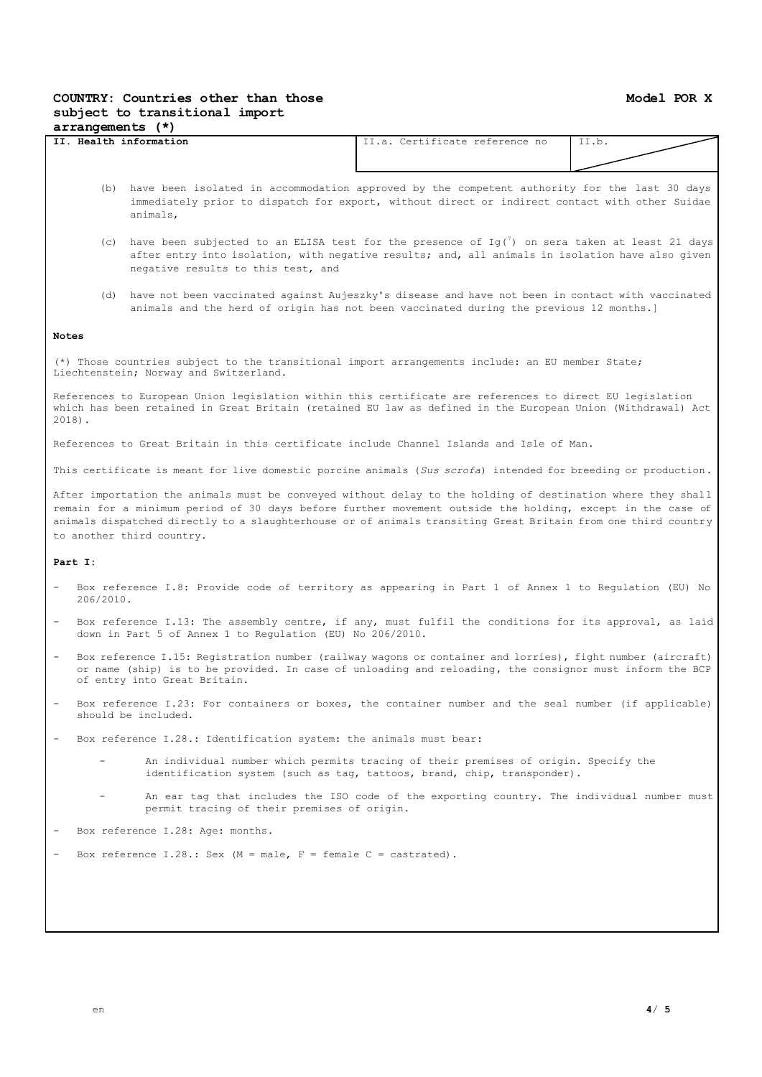### **COUNTRY: Countries other than those subject to transitional import arrangements (\*)**

| . Health information<br>II. | Certificate reference no<br>$\pm 1.3.$ $\Gamma$ . | $- -$<br>11.U. |  |  |  |
|-----------------------------|---------------------------------------------------|----------------|--|--|--|
|                             |                                                   |                |  |  |  |
|                             |                                                   |                |  |  |  |

- (b) have been isolated in accommodation approved by the competent authority for the last 30 days immediately prior to dispatch for export, without direct or indirect contact with other Suidae animals,
- (c) have been subjected to an ELISA test for the presence of  $Ig(')$  on sera taken at least 21 days after entry into isolation, with negative results; and, all animals in isolation have also given negative results to this test, and
- (d) have not been vaccinated against Aujeszky's disease and have not been in contact with vaccinated animals and the herd of origin has not been vaccinated during the previous 12 months.]

### **Notes**

(\*) Those countries subject to the transitional import arrangements include: an EU member State; Liechtenstein; Norway and Switzerland.

References to European Union legislation within this certificate are references to direct EU legislation which has been retained in Great Britain (retained EU law as defined in the European Union (Withdrawal) Act 2018).

References to Great Britain in this certificate include Channel Islands and Isle of Man.

This certificate is meant for live domestic porcine animals (*Sus scrofa*) intended for breeding or production.

After importation the animals must be conveyed without delay to the holding of destination where they shall remain for a minimum period of 30 days before further movement outside the holding, except in the case of animals dispatched directly to a slaughterhouse or of animals transiting Great Britain from one third country to another third country.

### **Part I:**

- Box reference I.8: Provide code of territory as appearing in Part 1 of Annex 1 to Regulation (EU) No 206/2010.
- Box reference I.13: The assembly centre, if any, must fulfil the conditions for its approval, as laid down in Part 5 of Annex 1 to Regulation (EU) No 206/2010.
- Box reference I.15: Registration number (railway wagons or container and lorries), fight number (aircraft) or name (ship) is to be provided. In case of unloading and reloading, the consignor must inform the BCP of entry into Great Britain.
- Box reference I.23: For containers or boxes, the container number and the seal number (if applicable) should be included.
- Box reference I.28.: Identification system: the animals must bear:
	- An individual number which permits tracing of their premises of origin. Specify the identification system (such as tag, tattoos, brand, chip, transponder).
	- An ear tag that includes the ISO code of the exporting country. The individual number must permit tracing of their premises of origin.
- Box reference I.28: Age: months.
- Box reference I.28.: Sex  $(M = male, F = female C = castrated)$ .